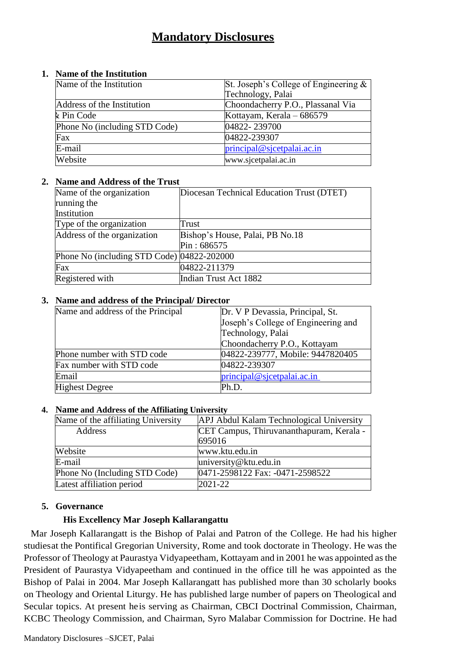## **Mandatory Disclosures**

#### **1. Name of the Institution**

| Name of the Institution       | St. Joseph's College of Engineering $\&$ |
|-------------------------------|------------------------------------------|
|                               | Technology, Palai                        |
| Address of the Institution    | Choondacherry P.O., Plassanal Via        |
| k Pin Code                    | Kottayam, Kerala – 686579                |
| Phone No (including STD Code) | 04822-239700                             |
| Fax                           | 04822-239307                             |
| E-mail                        | principal@sjcetpalai.ac.in               |
| Website                       | www.sjcetpalai.ac.in                     |

#### **2. Name and Address of the Trust**

| Name of the organization                   | Diocesan Technical Education Trust (DTET) |
|--------------------------------------------|-------------------------------------------|
| running the                                |                                           |
| Institution                                |                                           |
| Type of the organization                   | Trust                                     |
| Address of the organization                | Bishop's House, Palai, PB No.18           |
|                                            | Pin: 686575                               |
| Phone No (including STD Code) 04822-202000 |                                           |
| Fax                                        | 04822-211379                              |
| Registered with                            | Indian Trust Act 1882                     |

#### **3. Name and address of the Principal/ Director**

| Name and address of the Principal | Dr. V P Devassia, Principal, St.    |
|-----------------------------------|-------------------------------------|
|                                   | Joseph's College of Engineering and |
|                                   | Technology, Palai                   |
|                                   | Choondacherry P.O., Kottayam        |
| Phone number with STD code        | 04822-239777, Mobile: 9447820405    |
| Fax number with STD code          | 04822-239307                        |
| Email                             | principal @ sjectpal.ac.in          |
| <b>Highest Degree</b>             | Ph.D.                               |

#### **4. Name and Address of the Affiliating University**

| Name of the affiliating University | APJ Abdul Kalam Technological University |  |
|------------------------------------|------------------------------------------|--|
| Address                            | CET Campus, Thiruvananthapuram, Kerala - |  |
|                                    | 695016                                   |  |
| Website                            | www.ktu.edu.in                           |  |
| E-mail                             | university@ktu.edu.in                    |  |
| Phone No (Including STD Code)      | 0471-2598122 Fax: -0471-2598522          |  |
| Latest affiliation period          | 2021-22                                  |  |

#### **5. Governance**

#### **His Excellency Mar Joseph Kallarangattu**

Mar Joseph Kallarangatt is the Bishop of Palai and Patron of the College. He had his higher studiesat the Pontifical Gregorian University, Rome and took doctorate in Theology. He was the Professor of Theology at Paurastya Vidyapeetham, Kottayam and in 2001 he was appointed asthe President of Paurastya Vidyapeetham and continued in the office till he was appointed as the Bishop of Palai in 2004. Mar Joseph Kallarangatt has published more than 30 scholarly books on Theology and Oriental Liturgy. He has published large number of papers on Theological and Secular topics. At present heis serving as Chairman, CBCI Doctrinal Commission, Chairman, KCBC Theology Commission, and Chairman, Syro Malabar Commission for Doctrine. He had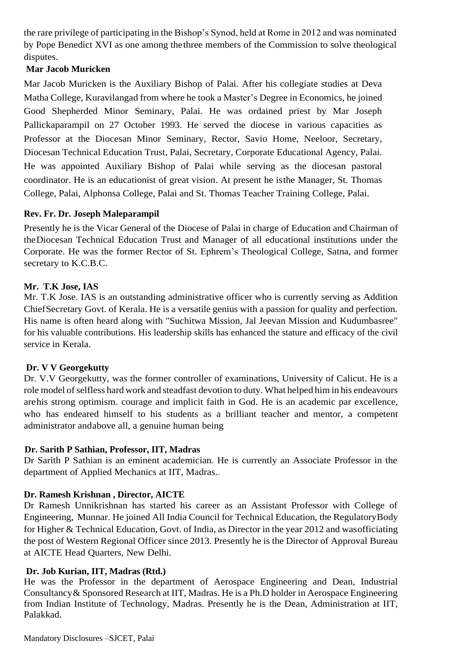the rare privilege of participating in the Bishop's Synod, held at Rome in 2012 and was nominated by Pope Benedict XVI as one among thethree members of the Commission to solve theological disputes.

### **Mar Jacob Muricken**

Mar Jacob Muricken is the Auxiliary Bishop of Palai. After his collegiate studies at Deva Matha College, Kuravilangad from where he took a Master's Degree in Economics, he joined Good Shepherded Minor Seminary, Palai. He was ordained priest by Mar Joseph Pallickaparampil on 27 October 1993. He served the diocese in various capacities as Professor at the Diocesan Minor Seminary, Rector, Savio Home, Neeloor, Secretary, Diocesan Technical Education Trust, Palai, Secretary, Corporate Educational Agency, Palai. He was appointed Auxiliary Bishop of Palai while serving as the diocesan pastoral coordinator. He is an educationist of great vision. At present he isthe Manager, St. Thomas College, Palai, Alphonsa College, Palai and St. Thomas Teacher Training College, Palai.

### **Rev. Fr. Dr. Joseph Maleparampil**

Presently he is the Vicar General of the Diocese of Palai in charge of Education and Chairman of theDiocesan Technical Education Trust and Manager of all educational institutions under the Corporate. He was the former Rector of St. Ephrem's Theological College, Satna, and former secretary to K.C.B.C.

### **Mr. T.K Jose, IAS**

Mr. T.K Jose. IAS is an outstanding administrative officer who is currently serving as Addition ChiefSecretary Govt. of Kerala. He is a versatile genius with a passion for quality and perfection. His name is often heard along with "Suchitwa Mission, Jal Jeevan Mission and Kudumbasree" for his valuable contributions. His leadership skills has enhanced the stature and efficacy of the civil service in Kerala.

## **Dr. V V Georgekutty**

Dr. V.V Georgekutty, was the former controller of examinations, University of Calicut. He is a role model of selfless hard work and steadfast devotion to duty. What helped him in his endeavours arehis strong optimism. courage and implicit faith in God. He is an academic par excellence, who has endeared himself to his students as a brilliant teacher and mentor, a competent administrator andabove all, a genuine human being

## **Dr. Sarith P Sathian, Professor, IIT, Madras**

Dr Sarith P Sathian is an eminent academician. He is currently an Associate Professor in the department of Applied Mechanics at IIT, Madras..

#### **Dr. Ramesh Krishnan , Director, AICTE**

Dr Ramesh Unnikrishnan has started his career as an Assistant Professor with College of Engineering, Munnar. He joined All India Council for Technical Education, the RegulatoryBody for Higher & Technical Education, Govt. of India, as Director in the year 2012 and wasofficiating the post of Western Regional Officer since 2013. Presently he is the Director of Approval Bureau at AICTE Head Quarters, New Delhi.

#### **Dr. Job Kurian, IIT, Madras (Rtd.)**

He was the Professor in the department of Aerospace Engineering and Dean, Industrial Consultancy& Sponsored Research at IIT, Madras. He is a Ph.D holder in Aerospace Engineering from Indian Institute of Technology, Madras. Presently he is the Dean, Administration at IIT, Palakkad.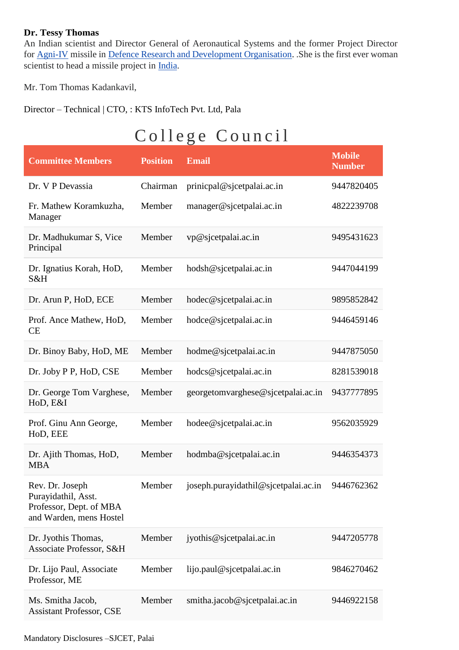#### **Dr. Tessy Thomas**

An Indian scientist and Director General of Aeronautical Systems and the former Project Director for [Agni-IV](https://en.wikipedia.org/wiki/Agni-IV) missile in [Defence Research and Development Organisation.](https://en.wikipedia.org/wiki/Defence_Research_and_Development_Organisation) .She is the first ever woman scientist to head a missile project in [India.](https://en.wikipedia.org/wiki/India)

Mr. Tom Thomas Kadankavil,

Director – Technical | CTO, : KTS InfoTech Pvt. Ltd, Pala

# College Council

| <b>Committee Members</b>                                                                     | <b>Position</b> | <b>Email</b>                         | <b>Mobile</b><br><b>Number</b> |
|----------------------------------------------------------------------------------------------|-----------------|--------------------------------------|--------------------------------|
| Dr. V P Devassia                                                                             | Chairman        | prinicpal@sjcetpalai.ac.in           | 9447820405                     |
| Fr. Mathew Koramkuzha,<br>Manager                                                            | Member          | manager@sjcetpalai.ac.in             | 4822239708                     |
| Dr. Madhukumar S, Vice<br>Principal                                                          | Member          | vp@sjcetpalai.ac.in                  | 9495431623                     |
| Dr. Ignatius Korah, HoD,<br>S&H                                                              | Member          | hodsh@sjcetpalai.ac.in               | 9447044199                     |
| Dr. Arun P, HoD, ECE                                                                         | Member          | hodec@sjcetpalai.ac.in               | 9895852842                     |
| Prof. Ance Mathew, HoD,<br>CE                                                                | Member          | hodce@sjcetpalai.ac.in               | 9446459146                     |
| Dr. Binoy Baby, HoD, ME                                                                      | Member          | hodme@sjcetpalai.ac.in               | 9447875050                     |
| Dr. Joby P P, HoD, CSE                                                                       | Member          | hodcs@sjcetpalai.ac.in               | 8281539018                     |
| Dr. George Tom Varghese,<br>HoD, E&I                                                         | Member          | georgetomvarghese@sjcetpalai.ac.in   | 9437777895                     |
| Prof. Ginu Ann George,<br>HoD, EEE                                                           | Member          | hodee@sjcetpalai.ac.in               | 9562035929                     |
| Dr. Ajith Thomas, HoD,<br><b>MBA</b>                                                         | Member          | hodmba@sjcetpalai.ac.in              | 9446354373                     |
| Rev. Dr. Joseph<br>Purayidathil, Asst.<br>Professor, Dept. of MBA<br>and Warden, mens Hostel | Member          | joseph.purayidathil@sjcetpalai.ac.in | 9446762362                     |
| Dr. Jyothis Thomas,<br>Associate Professor, S&H                                              | Member          | jyothis@sjcetpalai.ac.in             | 9447205778                     |
| Dr. Lijo Paul, Associate<br>Professor, ME                                                    | Member          | lijo.paul@sjcetpalai.ac.in           | 9846270462                     |
| Ms. Smitha Jacob,<br><b>Assistant Professor, CSE</b>                                         | Member          | smitha.jacob@sjcetpalai.ac.in        | 9446922158                     |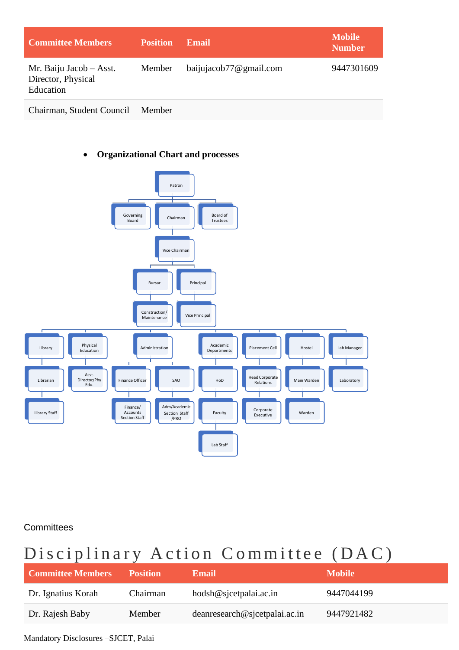| <b>Committee Members</b>                                   | <b>Position</b> | <b>Email</b>           | <b>Mobile</b><br><b>Number</b> |
|------------------------------------------------------------|-----------------|------------------------|--------------------------------|
| Mr. Baiju Jacob – Asst.<br>Director, Physical<br>Education | Member          | baijujacob77@gmail.com | 9447301609                     |

Chairman, Student Council Member

#### • **Organizational Chart and processes**



**Committees** 

# Disciplinary Action Committee (DAC)

| <b>Committee Members</b> | <b>Position</b> | <b>Email</b>                  | <b>Mobile</b> |
|--------------------------|-----------------|-------------------------------|---------------|
| Dr. Ignatius Korah       | Chairman        | hodsh@sjcetpalai.ac.in        | 9447044199    |
| Dr. Rajesh Baby          | Member          | deanresearch@sjcetpalai.ac.in | 9447921482    |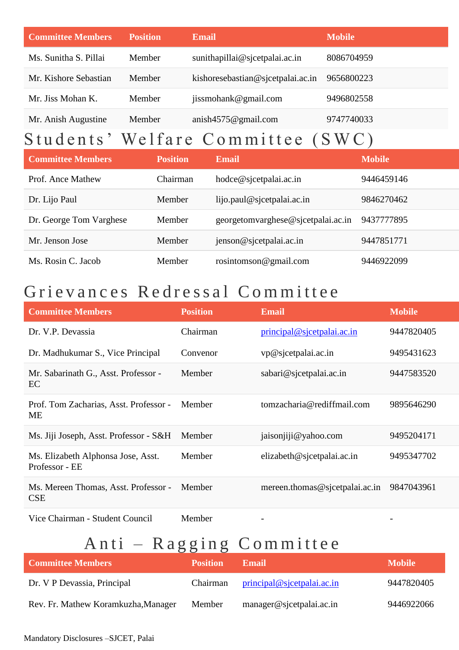| <b>Committee Members</b> | <b>Position</b> | <b>Email</b>                      | <b>Mobile</b> |
|--------------------------|-----------------|-----------------------------------|---------------|
| Ms. Sunitha S. Pillai    | Member          | sunithapillai@sjcetpalai.ac.in    | 8086704959    |
| Mr. Kishore Sebastian    | Member          | kishoresebastian@sjcetpalai.ac.in | 9656800223    |
| Mr. Jiss Mohan K.        | Member          | jissmohank@gmail.com              | 9496802558    |
| Mr. Anish Augustine      | Member          | anish $4575@$ gmail.com           | 9747740033    |

# Students' Welfare Committee (SWC)

| <b>Committee Members</b> | <b>Position</b> | Email                              | <b>Mobile</b> |
|--------------------------|-----------------|------------------------------------|---------------|
| Prof. Ance Mathew        | Chairman        | hodce@sjcetpalai.ac.in             | 9446459146    |
| Dr. Lijo Paul            | Member          | lijo.paul@sjectpalai.ac.in         | 9846270462    |
| Dr. George Tom Varghese  | Member          | georgetomvarghese@sjcetpalai.ac.in | 9437777895    |
| Mr. Jenson Jose          | Member          | jenson@sjcetpalai.ac.in            | 9447851771    |
| Ms. Rosin C. Jacob       | Member          | rosintomø@gmail.com                | 9446922099    |

# Grievances Redressal Committee

| <b>Committee Members</b>                             | <b>Position</b> | <b>Email</b>                   | <b>Mobile</b> |
|------------------------------------------------------|-----------------|--------------------------------|---------------|
| Dr. V.P. Devassia                                    | Chairman        | principal @ sicetpalai.ac.in   | 9447820405    |
| Dr. Madhukumar S., Vice Principal                    | Convenor        | vp@sjcetpalai.ac.in            | 9495431623    |
| Mr. Sabarinath G., Asst. Professor -<br>EC           | Member          | sabari@sjcetpalai.ac.in        | 9447583520    |
| Prof. Tom Zacharias, Asst. Professor -<br>ME         | Member          | tomzacharia@rediffmail.com     | 9895646290    |
| Ms. Jiji Joseph, Asst. Professor - S&H               | Member          | jaisonjiji@yahoo.com           | 9495204171    |
| Ms. Elizabeth Alphonsa Jose, Asst.<br>Professor - EE | Member          | elizableth@sicetpalai.ac.in    | 9495347702    |
| Ms. Mereen Thomas, Asst. Professor -<br><b>CSE</b>   | Member          | mereen.thomas@sjcetpalai.ac.in | 9847043961    |
| Vice Chairman - Student Council                      | Member          | -                              |               |

# Anti – Ragging Committee

| <b>Committee Members</b>            | <b>Position</b> | <b>Email</b>               | <b>Mobile</b> |
|-------------------------------------|-----------------|----------------------------|---------------|
| Dr. V P Devassia, Principal         | <b>Chairman</b> | principal@sjectpalai.ac.in | 9447820405    |
| Rev. Fr. Mathew Koramkuzha, Manager | Member          | manager@sjcetpalai.ac.in   | 9446922066    |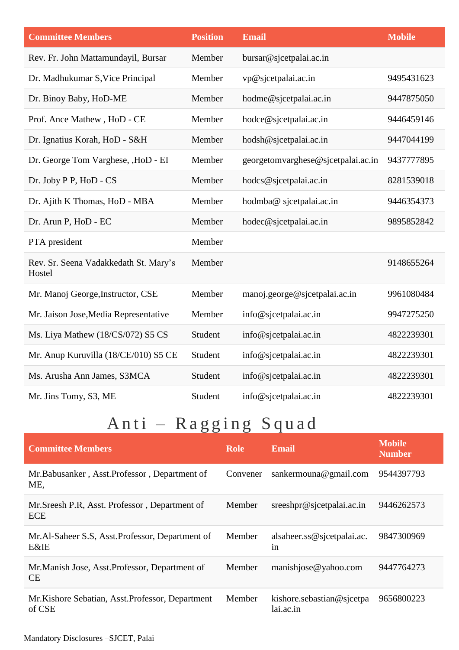| <b>Committee Members</b>                        | <b>Position</b> | <b>Email</b>                       | <b>Mobile</b> |
|-------------------------------------------------|-----------------|------------------------------------|---------------|
| Rev. Fr. John Mattamundayil, Bursar             | Member          | bursar@sjcetpalai.ac.in            |               |
| Dr. Madhukumar S, Vice Principal                | Member          | vp@sjcetpalai.ac.in                | 9495431623    |
| Dr. Binoy Baby, HoD-ME                          | Member          | hodme@sjcetpalai.ac.in             | 9447875050    |
| Prof. Ance Mathew, HoD - CE                     | Member          | hodce@sjcetpalai.ac.in             | 9446459146    |
| Dr. Ignatius Korah, HoD - S&H                   | Member          | hodsh@sjcetpalai.ac.in             | 9447044199    |
| Dr. George Tom Varghese, , HoD - EI             | Member          | georgetomvarghese@sjcetpalai.ac.in | 9437777895    |
| Dr. Joby P P, HoD - CS                          | Member          | hodcs@sjcetpalai.ac.in             | 8281539018    |
| Dr. Ajith K Thomas, HoD - MBA                   | Member          | hodmba@ sjcetpalai.ac.in           | 9446354373    |
| Dr. Arun P, HoD - EC                            | Member          | hodec@sjcetpalai.ac.in             | 9895852842    |
| PTA president                                   | Member          |                                    |               |
| Rev. Sr. Seena Vadakkedath St. Mary's<br>Hostel | Member          |                                    | 9148655264    |
| Mr. Manoj George, Instructor, CSE               | Member          | manoj.george@sjcetpalai.ac.in      | 9961080484    |
| Mr. Jaison Jose, Media Representative           | Member          | info@sjcetpalai.ac.in              | 9947275250    |
| Ms. Liya Mathew (18/CS/072) S5 CS               | Student         | info@sjcetpalai.ac.in              | 4822239301    |
| Mr. Anup Kuruvilla (18/CE/010) S5 CE            | Student         | info@sjcetpalai.ac.in              | 4822239301    |
| Ms. Arusha Ann James, S3MCA                     | Student         | info@sjcetpalai.ac.in              | 4822239301    |
| Mr. Jins Tomy, S3, ME                           | Student         | info@sjcetpalai.ac.in              | 4822239301    |

# Anti – Ragging Squad

| <b>Committee Members</b>                                            | <b>Role</b> | <b>Email</b>                           | <b>Mobile</b><br><b>Number</b> |
|---------------------------------------------------------------------|-------------|----------------------------------------|--------------------------------|
| Mr. Babusanker, Asst. Professor, Department of<br>ME,               | Convener    | sankermouna@gmail.com                  | 9544397793                     |
| Mr. Sreesh P.R. Asst. Professor, Department of<br><b>ECE</b>        | Member      | $s$ reeshpr@sjcetpalai.ac.in           | 9446262573                     |
| Mr.Al-Saheer S.S. Asst. Professor, Department of<br><b>E&amp;IE</b> | Member      | alsaheer.ss@sjcetpalai.ac.<br>in       | 9847300969                     |
| Mr. Manish Jose, Asst. Professor, Department of<br>CE               | Member      | manishjose@yahoo.com                   | 9447764273                     |
| Mr. Kishore Sebatian, Asst. Professor, Department<br>of CSE         | Member      | kishore.sebastian@sjcetpa<br>lai.ac.in | 9656800223                     |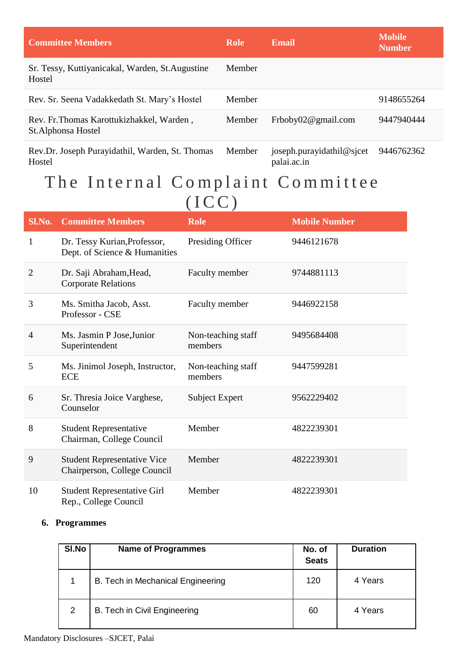| <b>Committee Members</b>                                         | <b>Role</b> | Email                                    | <b>Mobile</b><br><b>Number</b> |
|------------------------------------------------------------------|-------------|------------------------------------------|--------------------------------|
| Sr. Tessy, Kuttiyanicakal, Warden, St. Augustine<br>Hostel       | Member      |                                          |                                |
| Rev. Sr. Seena Vadakkedath St. Mary's Hostel                     | Member      |                                          | 9148655264                     |
| Rev. Fr. Thomas Karottukizhakkel, Warden,<br>St. Alphonsa Hostel | Member      | Frboby $02@$ gmail.com                   | 9447940444                     |
| Rev.Dr. Joseph Purayidathil, Warden, St. Thomas<br>Hostel        | Member      | joseph.purayidathil@sjcet<br>palai.ac.in | 9446762362                     |

## The Internal Complaint Committee  $(ICC)$

| Sl.No.         | <b>Committee Members</b>                                           | <b>Role</b>                   | <b>Mobile Number</b> |
|----------------|--------------------------------------------------------------------|-------------------------------|----------------------|
| 1              | Dr. Tessy Kurian, Professor,<br>Dept. of Science & Humanities      | Presiding Officer             | 9446121678           |
| $\overline{2}$ | Dr. Saji Abraham, Head,<br><b>Corporate Relations</b>              | Faculty member                | 9744881113           |
| 3              | Ms. Smitha Jacob, Asst.<br>Professor - CSE                         | Faculty member                | 9446922158           |
| 4              | Ms. Jasmin P Jose, Junior<br>Superintendent                        | Non-teaching staff<br>members | 9495684408           |
| 5              | Ms. Jinimol Joseph, Instructor,<br><b>ECE</b>                      | Non-teaching staff<br>members | 9447599281           |
| 6              | Sr. Thresia Joice Varghese,<br>Counselor                           | Subject Expert                | 9562229402           |
| 8              | <b>Student Representative</b><br>Chairman, College Council         | Member                        | 4822239301           |
| 9              | <b>Student Representative Vice</b><br>Chairperson, College Council | Member                        | 4822239301           |
| 10             | <b>Student Representative Girl</b><br>Rep., College Council        | Member                        | 4822239301           |

#### **6. Programmes**

| SI.No | <b>Name of Programmes</b>         | No. of<br><b>Seats</b> | <b>Duration</b> |
|-------|-----------------------------------|------------------------|-----------------|
|       | B. Tech in Mechanical Engineering | 120                    | 4 Years         |
| 2     | B. Tech in Civil Engineering      | 60                     | 4 Years         |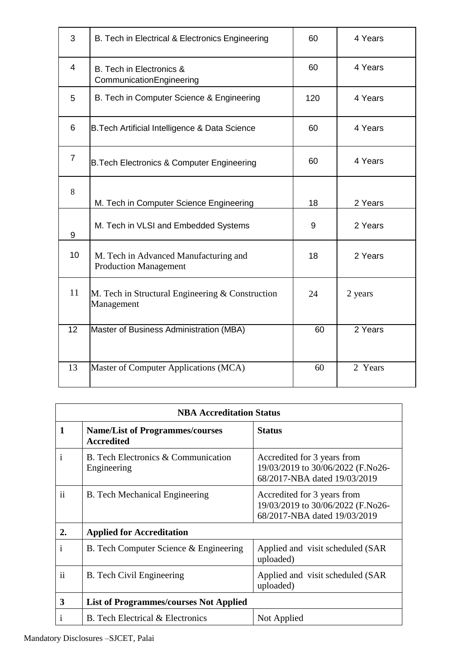| 3               | B. Tech in Electrical & Electronics Engineering                       | 60  | 4 Years |
|-----------------|-----------------------------------------------------------------------|-----|---------|
| $\overline{4}$  | B. Tech in Electronics &<br>CommunicationEngineering                  | 60  | 4 Years |
| 5               | B. Tech in Computer Science & Engineering                             | 120 | 4 Years |
| $6\phantom{1}6$ | B. Tech Artificial Intelligence & Data Science                        | 60  | 4 Years |
| $\overline{7}$  | B. Tech Electronics & Computer Engineering                            | 60  | 4 Years |
| 8               | M. Tech in Computer Science Engineering                               | 18  | 2 Years |
| 9               | M. Tech in VLSI and Embedded Systems                                  | 9   | 2 Years |
| 10              | M. Tech in Advanced Manufacturing and<br><b>Production Management</b> | 18  | 2 Years |
| 11              | M. Tech in Structural Engineering & Construction<br>Management        | 24  | 2 years |
| 12              | Master of Business Administration (MBA)                               | 60  | 2 Years |
| 13              | Master of Computer Applications (MCA)                                 | 60  | 2 Years |

| <b>NBA Accreditation Status</b> |                                                             |                                                                                                  |  |  |  |  |  |
|---------------------------------|-------------------------------------------------------------|--------------------------------------------------------------------------------------------------|--|--|--|--|--|
| $\mathbf{1}$                    | <b>Name/List of Programmes/courses</b><br><b>Accredited</b> | <b>Status</b>                                                                                    |  |  |  |  |  |
| $\mathbf{i}$                    | B. Tech Electronics & Communication<br>Engineering          | Accredited for 3 years from<br>19/03/2019 to 30/06/2022 (F.No26-<br>68/2017-NBA dated 19/03/2019 |  |  |  |  |  |
| $\mathbf{ii}$                   | B. Tech Mechanical Engineering                              | Accredited for 3 years from<br>19/03/2019 to 30/06/2022 (F.No26-<br>68/2017-NBA dated 19/03/2019 |  |  |  |  |  |
| 2.                              | <b>Applied for Accreditation</b>                            |                                                                                                  |  |  |  |  |  |
| i                               | B. Tech Computer Science & Engineering                      | Applied and visit scheduled (SAR<br>uploaded)                                                    |  |  |  |  |  |
| ii                              | <b>B.</b> Tech Civil Engineering                            | Applied and visit scheduled (SAR)<br>uploaded)                                                   |  |  |  |  |  |
| 3                               | <b>List of Programmes/courses Not Applied</b>               |                                                                                                  |  |  |  |  |  |
| $\mathbf{i}$                    | <b>B.</b> Tech Electrical & Electronics                     | Not Applied                                                                                      |  |  |  |  |  |

## Mandatory Disclosures –SJCET, Palai

<u> 1980 - Johann Barn, mars an t-Amerikaansk ferske ferhald (\* 1918)</u>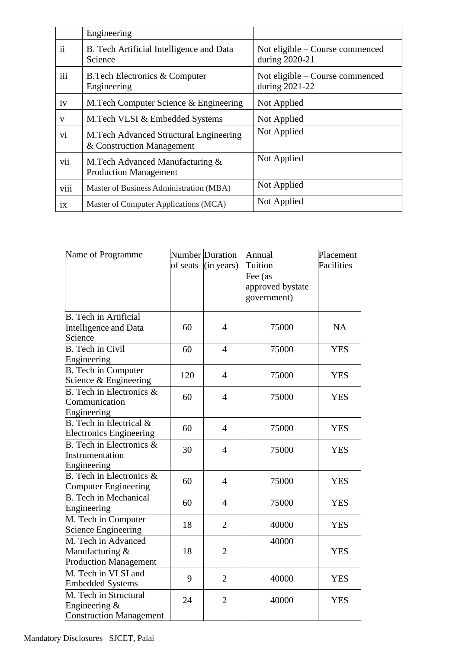|      | Engineering                                                          |                                                   |
|------|----------------------------------------------------------------------|---------------------------------------------------|
| ii   | B. Tech Artificial Intelligence and Data<br>Science                  | Not eligible – Course commenced<br>during 2020-21 |
| iii  | <b>B.Tech Electronics &amp; Computer</b><br>Engineering              | Not eligible – Course commenced<br>during 2021-22 |
| iv   | M. Tech Computer Science & Engineering                               | Not Applied                                       |
| V    | M.Tech VLSI & Embedded Systems                                       | Not Applied                                       |
| vi   | M. Tech Advanced Structural Engineering<br>& Construction Management | Not Applied                                       |
| vii  | M.Tech Advanced Manufacturing &<br><b>Production Management</b>      | Not Applied                                       |
| viii | Master of Business Administration (MBA)                              | Not Applied                                       |
| ix   | Master of Computer Applications (MCA)                                | Not Applied                                       |

| Name of Programme                  |          | <b>Number</b> Duration | Annual           | Placement  |  |
|------------------------------------|----------|------------------------|------------------|------------|--|
|                                    | of seats | (in years)             | Tuition          | Facilities |  |
|                                    |          |                        | Fee (as          |            |  |
|                                    |          |                        | approved bystate |            |  |
|                                    |          |                        | government)      |            |  |
|                                    |          |                        |                  |            |  |
| <b>B.</b> Tech in Artificial       |          |                        |                  |            |  |
| Intelligence and Data              | 60       | $\overline{4}$         | 75000            | <b>NA</b>  |  |
| Science                            |          |                        |                  |            |  |
| <b>B.</b> Tech in Civil            | 60       | $\overline{4}$         | 75000            | <b>YES</b> |  |
| Engineering                        |          |                        |                  |            |  |
| <b>B.</b> Tech in Computer         | 120      | $\overline{4}$         | 75000            | <b>YES</b> |  |
| Science & Engineering              |          |                        |                  |            |  |
| B. Tech in Electronics $\&$        | 60       | $\overline{4}$         | 75000            | <b>YES</b> |  |
| Communication                      |          |                        |                  |            |  |
| Engineering                        |          |                        |                  |            |  |
| <b>B.</b> Tech in Electrical $\&$  | 60       | $\overline{4}$         | 75000            | <b>YES</b> |  |
| <b>Electronics Engineering</b>     |          |                        |                  |            |  |
| B. Tech in Electronics &           | 30       | $\overline{4}$         | 75000            | <b>YES</b> |  |
| Instrumentation                    |          |                        |                  |            |  |
| Engineering                        |          |                        |                  |            |  |
| <b>B.</b> Tech in Electronics $\&$ | 60       | $\overline{4}$         | 75000            | <b>YES</b> |  |
| <b>Computer Engineering</b>        |          |                        |                  |            |  |
| <b>B.</b> Tech in Mechanical       | 60       | $\overline{4}$         | 75000            | <b>YES</b> |  |
| Engineering                        |          |                        |                  |            |  |
| M. Tech in Computer                | 18       | $\overline{2}$         | 40000            | <b>YES</b> |  |
| <b>Science Engineering</b>         |          |                        |                  |            |  |
| M. Tech in Advanced                |          |                        | 40000            |            |  |
| Manufacturing &                    | 18       | $\overline{2}$         |                  | <b>YES</b> |  |
| <b>Production Management</b>       |          |                        |                  |            |  |
| M. Tech in VLSI and                | 9        | $\overline{2}$         | 40000            | <b>YES</b> |  |
| <b>Embedded Systems</b>            |          |                        |                  |            |  |
| M. Tech in Structural              | 24       | $\overline{2}$         |                  | <b>YES</b> |  |
| Engineering &                      |          |                        | 40000            |            |  |
| <b>Construction Management</b>     |          |                        |                  |            |  |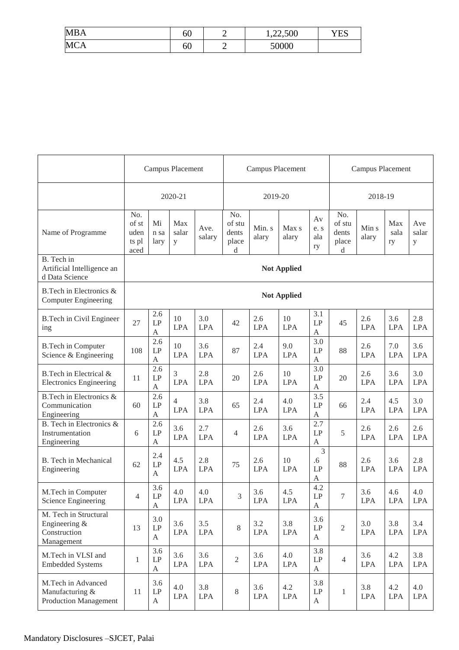| <b>MBA</b> | 60 | ⊷ | 1,22,500 | YES |
|------------|----|---|----------|-----|
| <b>MCA</b> | 00 | ∽ | 50000    |     |

|                                                                       | <b>Campus Placement</b>               |                                            | Campus Placement  |                   |                                      |                   | <b>Campus Placement</b> |                                        |                                      |                   |                   |                   |
|-----------------------------------------------------------------------|---------------------------------------|--------------------------------------------|-------------------|-------------------|--------------------------------------|-------------------|-------------------------|----------------------------------------|--------------------------------------|-------------------|-------------------|-------------------|
|                                                                       |                                       |                                            | 2020-21           |                   |                                      | 2019-20           |                         |                                        |                                      | 2018-19           |                   |                   |
| Name of Programme                                                     | No.<br>of st<br>uden<br>ts pl<br>aced | Mi<br>n sa<br>lary                         | Max<br>salar<br>y | Ave.<br>salary    | No.<br>of stu<br>dents<br>place<br>d | Min. s<br>alary   | Max s<br>alary          | Av<br>e.s<br>ala<br>ry                 | No.<br>of stu<br>dents<br>place<br>d | Min s<br>alary    | Max<br>sala<br>ry | Ave<br>salar<br>у |
| B. Tech in<br>Artificial Intelligence an<br>d Data Science            |                                       |                                            |                   |                   |                                      |                   | <b>Not Applied</b>      |                                        |                                      |                   |                   |                   |
| B.Tech in Electronics &<br><b>Computer Engineering</b>                |                                       |                                            |                   |                   |                                      |                   | <b>Not Applied</b>      |                                        |                                      |                   |                   |                   |
| <b>B.Tech in Civil Engineer</b><br>ing                                | 27                                    | 2.6<br>$\mathrm{LP}$<br>A                  | 10<br><b>LPA</b>  | 3.0<br><b>LPA</b> | 42                                   | 2.6<br><b>LPA</b> | 10<br><b>LPA</b>        | 3.1<br>LP<br>A                         | 45                                   | 2.6<br><b>LPA</b> | 3.6<br><b>LPA</b> | 2.8<br><b>LPA</b> |
| <b>B.Tech in Computer</b><br>Science & Engineering                    | 108                                   | 2.6<br>LP<br>$\mathbf{A}$                  | 10<br><b>LPA</b>  | 3.6<br><b>LPA</b> | 87                                   | 2.4<br><b>LPA</b> | 9.0<br><b>LPA</b>       | 3.0<br>LP<br>$\mathbf{A}$              | 88                                   | 2.6<br><b>LPA</b> | 7.0<br><b>LPA</b> | 3.6<br><b>LPA</b> |
| B.Tech in Electrical &<br><b>Electronics Engineering</b>              | 11                                    | 2.6<br>LP<br>$\mathbf{A}$                  | 3<br><b>LPA</b>   | 2.8<br><b>LPA</b> | 20                                   | 2.6<br><b>LPA</b> | 10<br><b>LPA</b>        | 3.0<br>LP<br>A                         | 20                                   | 2.6<br><b>LPA</b> | 3.6<br><b>LPA</b> | 3.0<br><b>LPA</b> |
| B.Tech in Electronics &<br>Communication<br>Engineering               | 60                                    | 2.6<br>LP<br>$\boldsymbol{A}$              | 4<br><b>LPA</b>   | 3.8<br><b>LPA</b> | 65                                   | 2.4<br><b>LPA</b> | 4.0<br><b>LPA</b>       | 3.5<br>LP<br>$\boldsymbol{\mathsf{A}}$ | 66                                   | 2.4<br><b>LPA</b> | 4.5<br><b>LPA</b> | 3.0<br><b>LPA</b> |
| B. Tech in Electronics &<br>Instrumentation<br>Engineering            | 6                                     | 2.6<br>LP<br>A                             | 3.6<br><b>LPA</b> | 2.7<br><b>LPA</b> | 4                                    | 2.6<br><b>LPA</b> | 3.6<br><b>LPA</b>       | 2.7<br>LP<br>$\boldsymbol{\mathsf{A}}$ | 5                                    | 2.6<br><b>LPA</b> | 2.6<br><b>LPA</b> | 2.6<br><b>LPA</b> |
| <b>B.</b> Tech in Mechanical<br>Engineering                           | 62                                    | 2.4<br>LP<br>A                             | 4.5<br><b>LPA</b> | 2.8<br><b>LPA</b> | 75                                   | 2.6<br><b>LPA</b> | 10<br><b>LPA</b>        | 3<br>.6<br>LP<br>A                     | 88                                   | 2.6<br><b>LPA</b> | 3.6<br><b>LPA</b> | 2.8<br><b>LPA</b> |
| M.Tech in Computer<br>Science Engineering                             | 4                                     | 3.6<br>$\operatorname{LP}$<br>$\mathbf{A}$ | 4.0<br><b>LPA</b> | 4.0<br><b>LPA</b> | 3                                    | 3.6<br>LPA        | 4.5<br><b>LPA</b>       | 4.2<br>$\ensuremath{\mathrm{LP}}$<br>A | 7                                    | 3.6<br><b>LPA</b> | 4.6<br><b>LPA</b> | 4.0<br>LPA        |
| M. Tech in Structural<br>Engineering &<br>Construction<br>Management  | 13                                    | 3.0<br>$\mathrm{LP}$<br>A                  | 3.6<br><b>LPA</b> | 3.5<br><b>LPA</b> | 8                                    | 3.2<br><b>LPA</b> | 3.8<br><b>LPA</b>       | 3.6<br>LP<br>A                         | $\overline{2}$                       | 3.0<br><b>LPA</b> | 3.8<br><b>LPA</b> | 3.4<br><b>LPA</b> |
| M.Tech in VLSI and<br><b>Embedded Systems</b>                         | $\mathbf{1}$                          | 3.6<br>$\mathrm{LP}$<br>$\mathbf{A}$       | 3.6<br><b>LPA</b> | 3.6<br><b>LPA</b> | $\overline{2}$                       | 3.6<br><b>LPA</b> | 4.0<br><b>LPA</b>       | 3.8<br>LP<br>A                         | $\overline{4}$                       | 3.6<br><b>LPA</b> | 4.2<br><b>LPA</b> | 3.8<br><b>LPA</b> |
| M.Tech in Advanced<br>Manufacturing &<br><b>Production Management</b> | 11                                    | 3.6<br>$\operatorname{LP}$<br>$\mathbf{A}$ | 4.0<br><b>LPA</b> | 3.8<br><b>LPA</b> | 8                                    | 3.6<br><b>LPA</b> | 4.2<br><b>LPA</b>       | 3.8<br>LP<br>A                         | $\mathbf{1}$                         | 3.8<br><b>LPA</b> | 4.2<br><b>LPA</b> | 4.0<br><b>LPA</b> |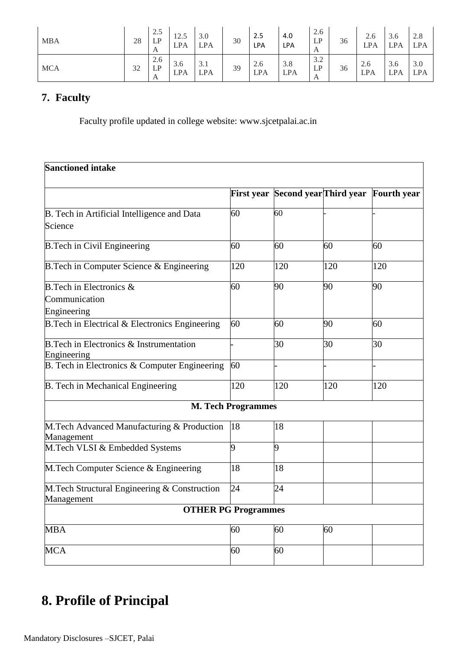| <b>MBA</b> | 28 | 2.5<br>LP<br>A | 12.5<br><b>LPA</b> | 3.0<br><b>LPA</b> | 30 | 2.5<br>LPA        | 4.0<br>LPA        | 2.6<br>LP<br>A | 36 | 2.6<br>LPA        | 3.6<br><b>LPA</b> | 2.8<br><b>LPA</b> |
|------------|----|----------------|--------------------|-------------------|----|-------------------|-------------------|----------------|----|-------------------|-------------------|-------------------|
| <b>MCA</b> | 32 | 2.6<br>LP<br>A | 3.6<br><b>LPA</b>  | 3.1<br><b>LPA</b> | 39 | 2.6<br><b>LPA</b> | 3.8<br><b>LPA</b> | 3.2<br>LP<br>A | 36 | 2.6<br><b>LPA</b> | 3.6<br><b>LPA</b> | 3.0<br><b>LPA</b> |

## **7. Faculty**

Faculty profile updated in college website: www.sjcetpalai.ac.in

| <b>Sanctioned intake</b>                                          |                           |                                   |     |                    |
|-------------------------------------------------------------------|---------------------------|-----------------------------------|-----|--------------------|
|                                                                   |                           | First year Second year Third year |     | <b>Fourth</b> year |
| B. Tech in Artificial Intelligence and Data<br>Science            | 60                        | 60                                |     |                    |
| <b>B.Tech in Civil Engineering</b>                                | 60                        | 60                                | 60  | 60                 |
| B. Tech in Computer Science & Engineering                         | 120                       | 120                               | 120 | 120                |
| B. Tech in Electronics &<br>Communication<br>Engineering          | 60                        | 90                                | 90  | 90                 |
| B. Tech in Electrical & Electronics Engineering                   | 60                        | 60                                | 90  | 60                 |
| <b>B.Tech in Electronics &amp; Instrumentation</b><br>Engineering |                           | 30                                | 30  | 30                 |
| B. Tech in Electronics & Computer Engineering                     | 60                        |                                   |     |                    |
| B. Tech in Mechanical Engineering                                 | 120                       | 120                               | 120 | 120                |
|                                                                   | <b>M. Tech Programmes</b> |                                   |     |                    |
| M.Tech Advanced Manufacturing & Production<br>Management          | 18                        | 18                                |     |                    |
| M.Tech VLSI & Embedded Systems                                    | 9                         | 9                                 |     |                    |
| M.Tech Computer Science & Engineering                             | 18                        | 18                                |     |                    |
| M.Tech Structural Engineering & Construction<br>Management        | 24                        | 24                                |     |                    |
| <b>OTHER PG Programmes</b>                                        |                           |                                   |     |                    |
| <b>MBA</b>                                                        | 60                        | 60                                | 60  |                    |
| <b>MCA</b>                                                        | 60                        | 60                                |     |                    |

## **8. Profile of Principal**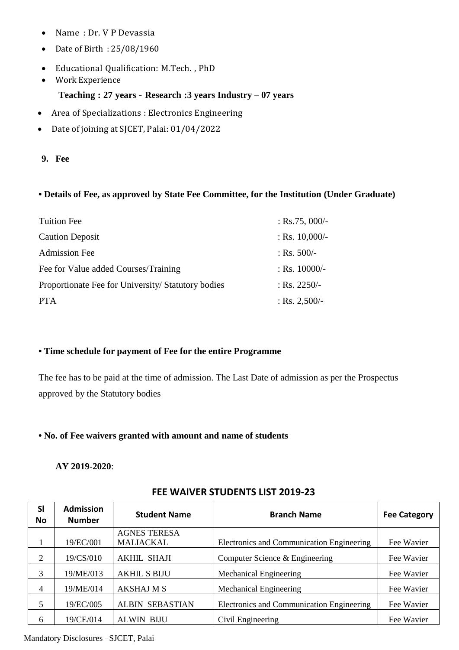- Name : Dr. V P Devassia
- Date of Birth : 25/08/1960
- Educational Qualification: M.Tech. , PhD
- Work Experience

#### **Teaching : 27 years - Research :3 years Industry – 07 years**

- Area of Specializations : Electronics Engineering
- Date of joining at SJCET, Palai: 01/04/2022
- **9. Fee**

#### **• Details of Fee, as approved by State Fee Committee, for the Institution (Under Graduate)**

| <b>Tuition Fee</b>                                | : Rs.75, 000/-   |
|---------------------------------------------------|------------------|
| <b>Caution Deposit</b>                            | : Rs. $10,000/-$ |
| <b>Admission Fee</b>                              | : Rs. $500/-$    |
| Fee for Value added Courses/Training              | $:$ Rs. 10000/-  |
| Proportionate Fee for University/Statutory bodies | : Rs. $2250/-$   |
| <b>PTA</b>                                        | : Rs. $2,500/-$  |

#### **• Time schedule for payment of Fee for the entire Programme**

The fee has to be paid at the time of admission. The Last Date of admission as per the Prospectus approved by the Statutory bodies

#### **• No. of Fee waivers granted with amount and name of students**

#### **AY 2019-2020**:

| <b>SI</b><br>No | <b>Admission</b><br><b>Number</b> | <b>Student Name</b>    | <b>Branch Name</b>                        | <b>Fee Category</b> |
|-----------------|-----------------------------------|------------------------|-------------------------------------------|---------------------|
|                 |                                   | <b>AGNES TERESA</b>    |                                           |                     |
|                 | 19/EC/001                         | <b>MALIACKAL</b>       | Electronics and Communication Engineering | Fee Wavier          |
| 2               | 19/CS/010                         | <b>AKHIL SHAJI</b>     | Computer Science & Engineering            | Fee Wavier          |
| 3               | 19/ME/013                         | <b>AKHIL S BIJU</b>    | Mechanical Engineering                    | Fee Wavier          |
| 4               | 19/ME/014                         | <b>AKSHAJ M S</b>      | Mechanical Engineering                    | Fee Wavier          |
| 5               | 19/EC/005                         | <b>ALBIN SEBASTIAN</b> | Electronics and Communication Engineering | Fee Wavier          |
| 6               | 19/CE/014                         | <b>ALWIN BIJU</b>      | Civil Engineering                         | Fee Wavier          |

#### **FEE WAIVER STUDENTS LIST 2019-23**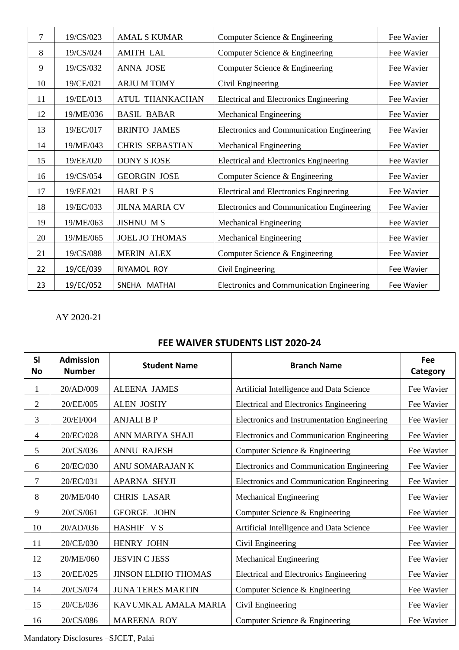| 7  | 19/CS/023 | <b>AMAL S KUMAR</b>    | Computer Science & Engineering                   | Fee Wavier |
|----|-----------|------------------------|--------------------------------------------------|------------|
| 8  | 19/CS/024 | <b>AMITH LAL</b>       | Computer Science & Engineering                   | Fee Wavier |
| 9  | 19/CS/032 | <b>ANNA JOSE</b>       | Computer Science & Engineering                   | Fee Wavier |
| 10 | 19/CE/021 | <b>ARJU M TOMY</b>     | Civil Engineering                                | Fee Wavier |
| 11 | 19/EE/013 | <b>ATUL THANKACHAN</b> | <b>Electrical and Electronics Engineering</b>    | Fee Wavier |
| 12 | 19/ME/036 | <b>BASIL BABAR</b>     | <b>Mechanical Engineering</b>                    | Fee Wavier |
| 13 | 19/EC/017 | <b>BRINTO JAMES</b>    | Electronics and Communication Engineering        | Fee Wavier |
| 14 | 19/ME/043 | <b>CHRIS SEBASTIAN</b> | <b>Mechanical Engineering</b>                    | Fee Wavier |
| 15 | 19/EE/020 | <b>DONY S JOSE</b>     | Electrical and Electronics Engineering           | Fee Wavier |
| 16 | 19/CS/054 | <b>GEORGIN JOSE</b>    | Computer Science & Engineering                   | Fee Wavier |
| 17 | 19/EE/021 | <b>HARI PS</b>         | Electrical and Electronics Engineering           | Fee Wavier |
| 18 | 19/EC/033 | <b>JILNA MARIA CV</b>  | Electronics and Communication Engineering        | Fee Wavier |
| 19 | 19/ME/063 | <b>JISHNU MS</b>       | <b>Mechanical Engineering</b>                    | Fee Wavier |
| 20 | 19/ME/065 | <b>JOEL JO THOMAS</b>  | <b>Mechanical Engineering</b>                    | Fee Wavier |
| 21 | 19/CS/088 | <b>MERIN ALEX</b>      | Computer Science & Engineering                   | Fee Wavier |
| 22 | 19/CE/039 | RIYAMOL ROY            | <b>Civil Engineering</b>                         | Fee Wavier |
| 23 | 19/EC/052 | SNEHA MATHAI           | <b>Electronics and Communication Engineering</b> | Fee Wavier |

AY 2020-21

## **FEE WAIVER STUDENTS LIST 2020-24**

| <b>SI</b><br><b>No</b> | <b>Admission</b><br><b>Number</b> | <b>Student Name</b>        | <b>Branch Name</b>                          | Fee<br>Category |
|------------------------|-----------------------------------|----------------------------|---------------------------------------------|-----------------|
| 1                      | 20/AD/009                         | <b>ALEENA JAMES</b>        | Artificial Intelligence and Data Science    | Fee Wavier      |
| 2                      | 20/EE/005                         | <b>ALEN JOSHY</b>          | Electrical and Electronics Engineering      | Fee Wavier      |
| 3                      | 20/EI/004                         | <b>ANJALIBP</b>            | Electronics and Instrumentation Engineering | Fee Wavier      |
| 4                      | 20/EC/028                         | ANN MARIYA SHAJI           | Electronics and Communication Engineering   | Fee Wavier      |
| 5                      | 20/CS/036                         | <b>ANNU RAJESH</b>         | Computer Science & Engineering              | Fee Wavier      |
| 6                      | 20/EC/030                         | ANU SOMARAJAN K            | Electronics and Communication Engineering   | Fee Wavier      |
| 7                      | 20/EC/031                         | <b>APARNA SHYJI</b>        | Electronics and Communication Engineering   | Fee Wavier      |
| 8                      | 20/ME/040                         | <b>CHRIS LASAR</b>         | Mechanical Engineering                      | Fee Wavier      |
| 9                      | 20/CS/061                         | <b>GEORGE JOHN</b>         | Computer Science & Engineering              | Fee Wavier      |
| 10                     | 20/AD/036                         | HASHIF VS                  | Artificial Intelligence and Data Science    | Fee Wavier      |
| 11                     | 20/CE/030                         | <b>HENRY JOHN</b>          | Civil Engineering                           | Fee Wavier      |
| 12                     | 20/ME/060                         | <b>JESVIN C JESS</b>       | Mechanical Engineering                      | Fee Wavier      |
| 13                     | 20/EE/025                         | <b>JINSON ELDHO THOMAS</b> | Electrical and Electronics Engineering      | Fee Wavier      |
| 14                     | 20/CS/074                         | <b>JUNA TERES MARTIN</b>   | Computer Science & Engineering              | Fee Wavier      |
| 15                     | 20/CE/036                         | KAVUMKAL AMALA MARIA       | Civil Engineering                           | Fee Wavier      |
| 16                     | 20/CS/086                         | <b>MAREENA ROY</b>         | Computer Science & Engineering              | Fee Wavier      |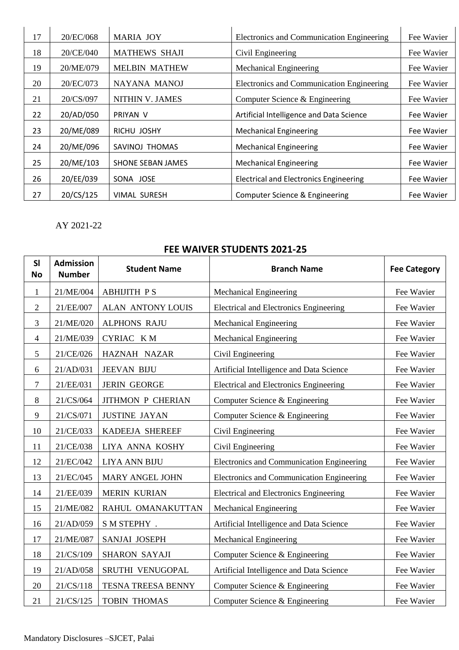| 17 | 20/EC/068 | <b>MARIA JOY</b>     | Electronics and Communication Engineering     | Fee Wavier |
|----|-----------|----------------------|-----------------------------------------------|------------|
| 18 | 20/CE/040 | <b>MATHEWS SHAJI</b> | Civil Engineering                             | Fee Wavier |
| 19 | 20/ME/079 | <b>MELBIN MATHEW</b> | <b>Mechanical Engineering</b>                 | Fee Wavier |
| 20 | 20/EC/073 | NAYANA MANOJ         | Electronics and Communication Engineering     | Fee Wavier |
| 21 | 20/CS/097 | NITHIN V. JAMES      | Computer Science & Engineering                | Fee Wavier |
| 22 | 20/AD/050 | PRIYAN V             | Artificial Intelligence and Data Science      | Fee Wavier |
| 23 | 20/ME/089 | RICHU JOSHY          | <b>Mechanical Engineering</b>                 | Fee Wavier |
| 24 | 20/ME/096 | SAVINOJ THOMAS       | <b>Mechanical Engineering</b>                 | Fee Wavier |
| 25 | 20/ME/103 | SHONE SEBAN JAMES    | <b>Mechanical Engineering</b>                 | Fee Wavier |
| 26 | 20/EE/039 | SONA JOSE            | <b>Electrical and Electronics Engineering</b> | Fee Wavier |
| 27 | 20/CS/125 | <b>VIMAL SURESH</b>  | Computer Science & Engineering                | Fee Wavier |

AY 2021-22

## **Sl No Admission Number Student Name Branch Name Fee Category** 1 21/ME/004 ABHIJITH P S Nechanical Engineering Fee Wavier 2 21/EE/007 ALAN ANTONY LOUIS Electrical and Electronics Engineering Fee Wavier 3 21/ME/020 ALPHONS RAJU Nechanical Engineering Fee Wavier 4 21/ME/039 CYRIAC K M Nechanical Engineering Fee Wavier 5 21/CE/026 HAZNAH NAZAR Civil Engineering Fee Wavier 6 21/AD/031 JEEVAN BIJU Artificial Intelligence and Data Science Fee Wavier 7 | 21/EE/031 | JERIN GEORGE | Electrical and Electronics Engineering | Fee Wavier 8 21/CS/064 JITHMON P CHERIAN Computer Science & Engineering Fee Wavier 9 | 21/CS/071 | JUSTINE JAYAN | Computer Science & Engineering Fee Wavier 10 21/CE/033 KADEEJA SHEREEF Civil Engineering Fee Wavier 11 | 21/CE/038 | LIYA ANNA KOSHY | Civil Engineering | Fee Wavier 12 21/EC/042 LIYA ANN BIJU Electronics and Communication Engineering Fee Wavier 13 21/EC/045 MARY ANGEL JOHN Electronics and Communication Engineering Fee Wavier 14 | 21/EE/039 | MERIN KURIAN | Electrical and Electronics Engineering | Fee Wavier 15 | 21/ME/082 | RAHUL OMANAKUTTAN | Mechanical Engineering Fee Wavier 16 | 21/AD/059 | S M STEPHY . | Artificial Intelligence and Data Science | Fee Wavier 17 | 21/ME/087 | SANJAI JOSEPH | Mechanical Engineering | Fee Wavier 18 | 21/CS/109 | SHARON SAYAJI | Computer Science & Engineering | Fee Wavier 19 21/AD/058 SRUTHI VENUGOPAL Artificial Intelligence and Data Science Fee Wavier 20 21/CS/118 TESNA TREESA BENNY Computer Science & Engineering Fee Wavier 21 21/CS/125 TOBIN THOMAS Computer Science & Engineering Fee Wavier

## **FEE WAIVER STUDENTS 2021-25**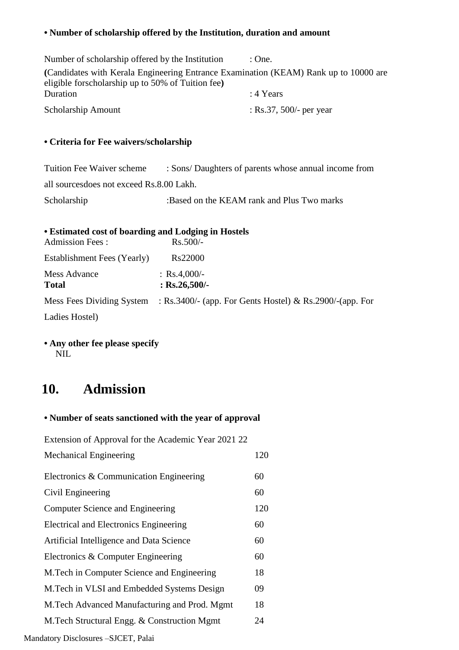## **• Number of scholarship offered by the Institution, duration and amount**

| Number of scholarship offered by the Institution                                                                                          | : One.                  |
|-------------------------------------------------------------------------------------------------------------------------------------------|-------------------------|
| (Candidates with Kerala Engineering Entrance Examination (KEAM) Rank up to 10000 are<br>eligible forscholarship up to 50% of Tuition fee) |                         |
| Duration                                                                                                                                  | : 4 Years               |
| Scholarship Amount                                                                                                                        | : Rs.37, 500/- per year |

### **• Criteria for Fee waivers/scholarship**

| <b>Tuition Fee Waiver scheme</b>          | : Sons/ Daughters of parents whose annual income from |
|-------------------------------------------|-------------------------------------------------------|
| all sources does not exceed Rs.8.00 Lakh. |                                                       |
| Scholarship                               | :Based on the KEAM rank and Plus Two marks            |

|  | <b>• Estimated cost of boarding and Lodging in Hostels</b> |  |  |  |  |  |  |
|--|------------------------------------------------------------|--|--|--|--|--|--|
|--|------------------------------------------------------------|--|--|--|--|--|--|

| <b>Admission Fees:</b>              | $Rs.500/-$                                                                         |
|-------------------------------------|------------------------------------------------------------------------------------|
| Establishment Fees (Yearly)         | Rs22000                                                                            |
| <b>Mess Advance</b><br><b>Total</b> | : $Rs.4,000/-$<br>: $Rs.26,500/-$                                                  |
|                                     | Mess Fees Dividing System : Rs.3400/- (app. For Gents Hostel) & Rs.2900/-(app. For |
| Ladies Hostel)                      |                                                                                    |

### **• Any other fee please specify** NIL

## **10. Admission**

## **• Number of seats sanctioned with the year of approval**

| Extension of Approval for the Academic Year 2021 22 |     |
|-----------------------------------------------------|-----|
| Mechanical Engineering                              | 120 |
| Electronics & Communication Engineering             | 60  |
| Civil Engineering                                   | 60  |
| <b>Computer Science and Engineering</b>             | 120 |
| Electrical and Electronics Engineering              | 60  |
| Artificial Intelligence and Data Science            | 60  |
| Electronics & Computer Engineering                  | 60  |
| M. Tech in Computer Science and Engineering         | 18  |
| M. Tech in VLSI and Embedded Systems Design         | 09  |
| M. Tech Advanced Manufacturing and Prod. Mgmt       | 18  |
| M.Tech Structural Engg. & Construction Mgmt         | 24  |
|                                                     |     |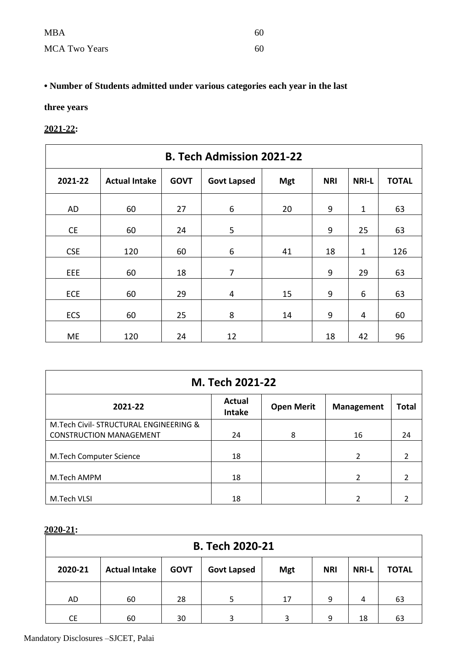| <b>MBA</b>           | 60 |
|----------------------|----|
| <b>MCA Two Years</b> | 60 |

## **• Number of Students admitted under various categories each year in the last**

## **three years**

### **2021-22:**

| <b>B. Tech Admission 2021-22</b> |                      |             |                    |            |            |              |              |
|----------------------------------|----------------------|-------------|--------------------|------------|------------|--------------|--------------|
| 2021-22                          | <b>Actual Intake</b> | <b>GOVT</b> | <b>Govt Lapsed</b> | <b>Mgt</b> | <b>NRI</b> | <b>NRI-L</b> | <b>TOTAL</b> |
| AD                               | 60                   | 27          | 6                  | 20         | 9          | $\mathbf{1}$ | 63           |
| <b>CE</b>                        | 60                   | 24          | 5                  |            | 9          | 25           | 63           |
| <b>CSE</b>                       | 120                  | 60          | 6                  | 41         | 18         | $\mathbf{1}$ | 126          |
| EEE                              | 60                   | 18          | $\overline{7}$     |            | 9          | 29           | 63           |
| <b>ECE</b>                       | 60                   | 29          | 4                  | 15         | 9          | 6            | 63           |
| <b>ECS</b>                       | 60                   | 25          | 8                  | 14         | 9          | 4            | 60           |
| <b>ME</b>                        | 120                  | 24          | 12                 |            | 18         | 42           | 96           |

| M. Tech 2021-22                       |                         |                   |                   |                          |  |  |
|---------------------------------------|-------------------------|-------------------|-------------------|--------------------------|--|--|
| 2021-22                               | Actual<br><b>Intake</b> | <b>Open Merit</b> | <b>Management</b> | <b>Total</b>             |  |  |
| M.Tech Civil-STRUCTURAL ENGINEERING & |                         |                   |                   |                          |  |  |
| <b>CONSTRUCTION MANAGEMENT</b>        | 24                      | 8                 | 16                | 24                       |  |  |
| M.Tech Computer Science               | 18                      |                   | $\mathcal{L}$     | $\overline{\phantom{a}}$ |  |  |
| M.Tech AMPM                           | 18                      |                   | $\overline{2}$    | 2                        |  |  |
| M.Tech VLSI                           | 18                      |                   | $\mathcal{P}$     |                          |  |  |

## **2020-21:**

| <b>B. Tech 2020-21</b> |                      |             |                    |            |            |              |              |
|------------------------|----------------------|-------------|--------------------|------------|------------|--------------|--------------|
| 2020-21                | <b>Actual Intake</b> | <b>GOVT</b> | <b>Govt Lapsed</b> | <b>Mgt</b> | <b>NRI</b> | <b>NRI-L</b> | <b>TOTAL</b> |
| AD                     | 60                   | 28          |                    | 17         | 9          | 4            | 63           |
| <b>CE</b>              | 60                   | 30          | 3                  | 3          | 9          | 18           | 63           |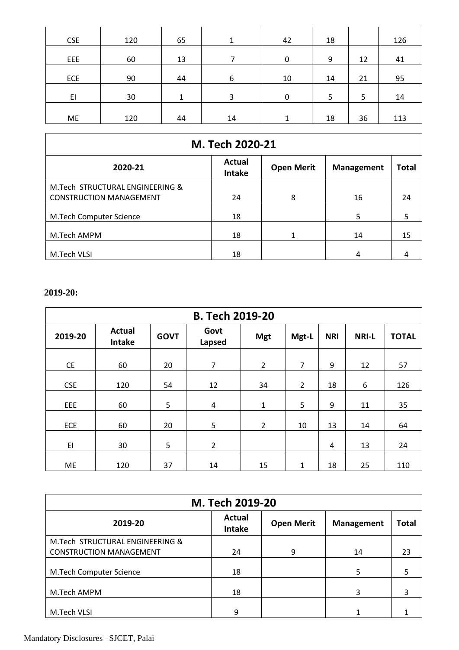| <b>CSE</b> | 120 | 65 | 1  | 42 | 18 |    | 126 |
|------------|-----|----|----|----|----|----|-----|
| <b>EEE</b> | 60  | 13 |    | 0  | 9  | 12 | 41  |
| ECE        | 90  | 44 | 6  | 10 | 14 | 21 | 95  |
| EI         | 30  | 1  | 3  | 0  | 5  | 5  | 14  |
| ME         | 120 | 44 | 14 | 1  | 18 | 36 | 113 |

| M. Tech 2020-21                 |                         |                   |                   |              |  |  |
|---------------------------------|-------------------------|-------------------|-------------------|--------------|--|--|
| 2020-21                         | Actual<br><b>Intake</b> | <b>Open Merit</b> | <b>Management</b> | <b>Total</b> |  |  |
| M.Tech STRUCTURAL ENGINEERING & |                         |                   |                   |              |  |  |
| <b>CONSTRUCTION MANAGEMENT</b>  | 24                      | 8                 | 16                | 24           |  |  |
| <b>M.Tech Computer Science</b>  | 18                      |                   | 5                 |              |  |  |
| M.Tech AMPM                     | 18                      | 1                 | 14                | 15           |  |  |
| M.Tech VLSI                     | 18                      |                   | 4                 |              |  |  |

## **2019-20:**

| <b>B. Tech 2019-20</b> |                                |             |                |                |                |            |              |              |
|------------------------|--------------------------------|-------------|----------------|----------------|----------------|------------|--------------|--------------|
| 2019-20                | <b>Actual</b><br><b>Intake</b> | <b>GOVT</b> | Govt<br>Lapsed | <b>Mgt</b>     | Mgt-L          | <b>NRI</b> | <b>NRI-L</b> | <b>TOTAL</b> |
| <b>CE</b>              | 60                             | 20          | 7              | $\overline{2}$ | $\overline{7}$ | 9          | 12           | 57           |
| <b>CSE</b>             | 120                            | 54          | 12             | 34             | $\overline{2}$ | 18         | 6            | 126          |
| EEE                    | 60                             | 5           | $\overline{4}$ | 1              | 5              | 9          | 11           | 35           |
| ECE                    | 60                             | 20          | 5              | $\overline{2}$ | 10             | 13         | 14           | 64           |
| EI                     | 30                             | 5           | $\overline{2}$ |                |                | 4          | 13           | 24           |
| ME                     | 120                            | 37          | 14             | 15             | 1              | 18         | 25           | 110          |

| M. Tech 2019-20                 |                         |                   |                   |              |  |  |
|---------------------------------|-------------------------|-------------------|-------------------|--------------|--|--|
| 2019-20                         | Actual<br><b>Intake</b> | <b>Open Merit</b> | <b>Management</b> | <b>Total</b> |  |  |
| M.Tech STRUCTURAL ENGINEERING & |                         |                   |                   |              |  |  |
| <b>CONSTRUCTION MANAGEMENT</b>  | 24                      | 9                 | 14                | 23           |  |  |
| M.Tech Computer Science         | 18                      |                   | 5                 | 5            |  |  |
| M.Tech AMPM                     | 18                      |                   | 3                 | 3            |  |  |
| M.Tech VLSI                     | 9                       |                   |                   |              |  |  |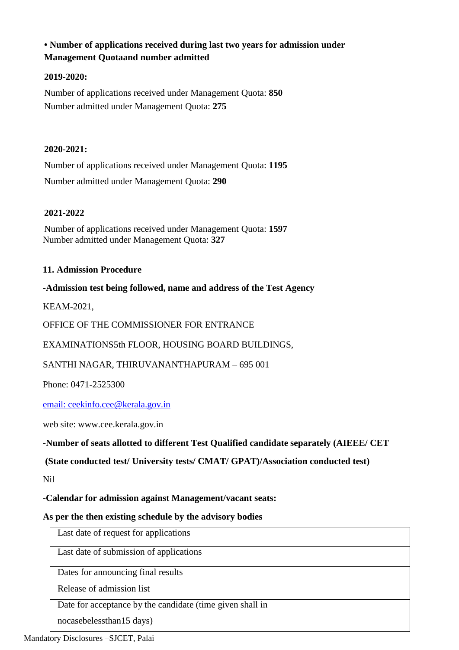## **• Number of applications received during last two years for admission under Management Quotaand number admitted**

#### **2019-2020:**

Number of applications received under Management Quota: **850** Number admitted under Management Quota: **275**

#### **2020-2021:**

Number of applications received under Management Quota: **1195** Number admitted under Management Quota: **290**

#### **2021-2022**

Number of applications received under Management Quota: **1597** Number admitted under Management Quota: **327**

#### **11. Admission Procedure**

**-Admission test being followed, name and address of the Test Agency**

KEAM-2021,

OFFICE OF THE COMMISSIONER FOR ENTRANCE

EXAMINATIONS5th FLOOR, HOUSING BOARD BUILDINGS,

SANTHI NAGAR, THIRUVANANTHAPURAM – 695 001

Phone: 0471-2525300

[email: ceekinfo.cee@kerala.gov.in](mailto:email:%20ceekinfo.cee@kerala.gov.in)

web site: [www.cee.kerala.gov.in](http://www.cee.kerala.gov.in/)

**-Number of seats allotted to different Test Qualified candidate separately (AIEEE/ CET**

**(State conducted test/ University tests/ CMAT/ GPAT)/Association conducted test)**

Nil

**-Calendar for admission against Management/vacant seats:**

#### **As per the then existing schedule by the advisory bodies**

| Last date of request for applications                     |  |
|-----------------------------------------------------------|--|
| Last date of submission of applications                   |  |
| Dates for announcing final results                        |  |
| Release of admission list                                 |  |
| Date for acceptance by the candidate (time given shall in |  |
| nocasebelessthan15 days)                                  |  |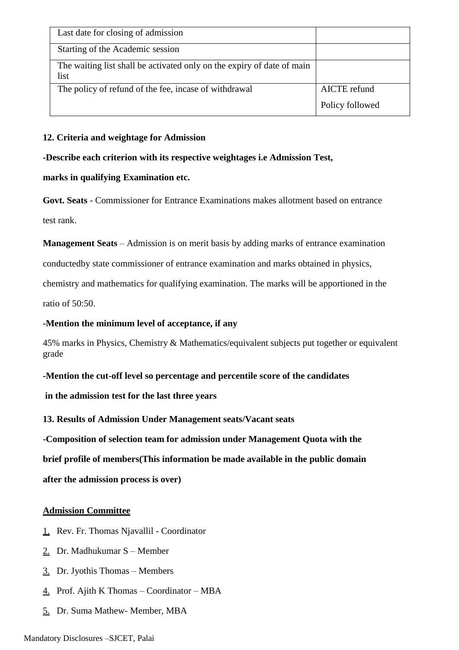| Last date for closing of admission                                             |                 |
|--------------------------------------------------------------------------------|-----------------|
| Starting of the Academic session                                               |                 |
| The waiting list shall be activated only on the expiry of date of main<br>list |                 |
| The policy of refund of the fee, incase of withdrawal                          | AICTE refund    |
|                                                                                | Policy followed |

#### **12. Criteria and weightage for Admission**

**-Describe each criterion with its respective weightages i.e Admission Test,**

#### **marks in qualifying Examination etc.**

**Govt. Seats** - Commissioner for Entrance Examinations makes allotment based on entrance test rank.

**Management Seats** – Admission is on merit basis by adding marks of entrance examination

conductedby state commissioner of entrance examination and marks obtained in physics,

chemistry and mathematics for qualifying examination. The marks will be apportioned in the

ratio of 50:50.

#### **-Mention the minimum level of acceptance, if any**

45% marks in Physics, Chemistry & Mathematics/equivalent subjects put together or equivalent grade

#### **-Mention the cut-off level so percentage and percentile score of the candidates**

**in the admission test for the last three years**

**13. Results of Admission Under Management seats/Vacant seats**

**-Composition of selection team for admission under Management Quota with the** 

**brief profile of members(This information be made available in the public domain** 

**after the admission process is over)**

#### **Admission Committee**

- 1. Rev. Fr. Thomas Njavallil Coordinator
- 2. Dr. Madhukumar S Member
- 3. Dr. Jyothis Thomas Members
- $\frac{4}{1}$  Prof. Ajith K Thomas Coordinator MBA
- 5. Dr. Suma Mathew- Member, MBA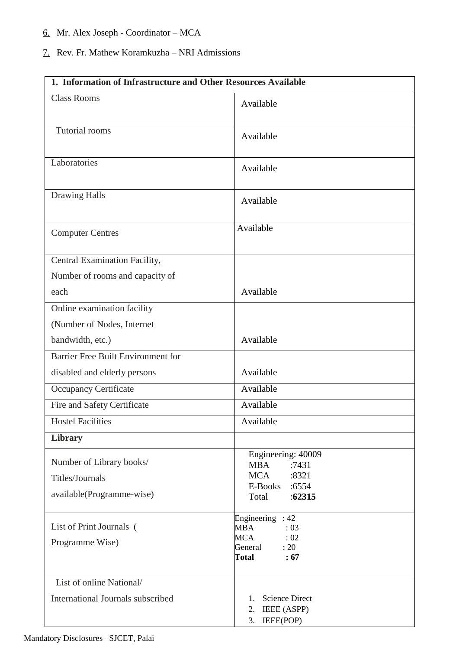## 6. Mr. Alex Joseph - Coordinator – MCA

## 7. Rev. Fr. Mathew Koramkuzha – NRI Admissions

| 1. Information of Infrastructure and Other Resources Available           |                                                                                                              |  |  |  |
|--------------------------------------------------------------------------|--------------------------------------------------------------------------------------------------------------|--|--|--|
| <b>Class Rooms</b>                                                       | Available                                                                                                    |  |  |  |
| <b>Tutorial rooms</b>                                                    | Available                                                                                                    |  |  |  |
| Laboratories                                                             | Available                                                                                                    |  |  |  |
| <b>Drawing Halls</b>                                                     | Available                                                                                                    |  |  |  |
| <b>Computer Centres</b>                                                  | Available                                                                                                    |  |  |  |
| Central Examination Facility,                                            |                                                                                                              |  |  |  |
| Number of rooms and capacity of                                          |                                                                                                              |  |  |  |
| each                                                                     | Available                                                                                                    |  |  |  |
| Online examination facility                                              |                                                                                                              |  |  |  |
| (Number of Nodes, Internet                                               |                                                                                                              |  |  |  |
| bandwidth, etc.)                                                         | Available                                                                                                    |  |  |  |
| Barrier Free Built Environment for                                       |                                                                                                              |  |  |  |
| disabled and elderly persons                                             | Available                                                                                                    |  |  |  |
| <b>Occupancy Certificate</b>                                             | Available                                                                                                    |  |  |  |
| Fire and Safety Certificate                                              | Available                                                                                                    |  |  |  |
| <b>Hostel Facilities</b>                                                 | Available                                                                                                    |  |  |  |
| <b>Library</b>                                                           |                                                                                                              |  |  |  |
| Number of Library books/<br>Titles/Journals<br>available(Programme-wise) | Engineering: 40009<br><b>MBA</b><br>:7431<br><b>MCA</b><br>:8321<br>E-Books :6554                            |  |  |  |
|                                                                          | :62315<br>Total                                                                                              |  |  |  |
| List of Print Journals (<br>Programme Wise)                              | Engineering : $42$<br>MBA<br>: 03<br><b>MCA</b><br>$\therefore$ 02<br>General<br>: 20<br><b>Total</b><br>:67 |  |  |  |
| List of online National/                                                 |                                                                                                              |  |  |  |
| International Journals subscribed                                        | <b>Science Direct</b><br>1.<br><b>IEEE</b> (ASPP)<br>2.<br>IEEE(POP)<br>3.                                   |  |  |  |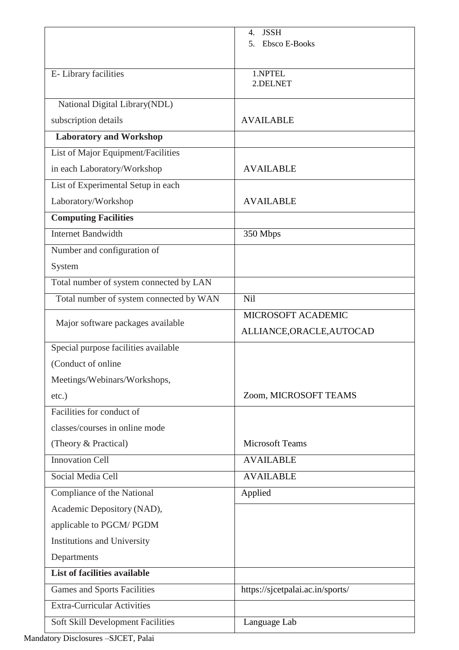|                                         | <b>JSSH</b><br>4.                |
|-----------------------------------------|----------------------------------|
|                                         | 5.<br><b>Ebsco E-Books</b>       |
|                                         |                                  |
| E-Library facilities                    | 1.NPTEL<br>2.DELNET              |
|                                         |                                  |
| National Digital Library(NDL)           |                                  |
| subscription details                    | <b>AVAILABLE</b>                 |
| <b>Laboratory and Workshop</b>          |                                  |
| List of Major Equipment/Facilities      |                                  |
| in each Laboratory/Workshop             | <b>AVAILABLE</b>                 |
| List of Experimental Setup in each      |                                  |
| Laboratory/Workshop                     | <b>AVAILABLE</b>                 |
| <b>Computing Facilities</b>             |                                  |
| <b>Internet Bandwidth</b>               | 350 Mbps                         |
| Number and configuration of             |                                  |
| System                                  |                                  |
| Total number of system connected by LAN |                                  |
| Total number of system connected by WAN | Nil                              |
|                                         | MICROSOFT ACADEMIC               |
| Major software packages available       | ALLIANCE, ORACLE, AUTOCAD        |
| Special purpose facilities available    |                                  |
| (Conduct of online)                     |                                  |
| Meetings/Webinars/Workshops,            |                                  |
| $etc.$ )                                | Zoom, MICROSOFT TEAMS            |
| Facilities for conduct of               |                                  |
| classes/courses in online mode          |                                  |
| (Theory & Practical)                    | <b>Microsoft Teams</b>           |
| <b>Innovation Cell</b>                  | <b>AVAILABLE</b>                 |
| Social Media Cell                       | <b>AVAILABLE</b>                 |
| Compliance of the National              | Applied                          |
| Academic Depository (NAD),              |                                  |
| applicable to PGCM/ PGDM                |                                  |
| <b>Institutions and University</b>      |                                  |
| Departments                             |                                  |
| <b>List of facilities available</b>     |                                  |
| <b>Games and Sports Facilities</b>      | https://sjcetpalai.ac.in/sports/ |
| <b>Extra-Curricular Activities</b>      |                                  |
| Soft Skill Development Facilities       | Language Lab                     |